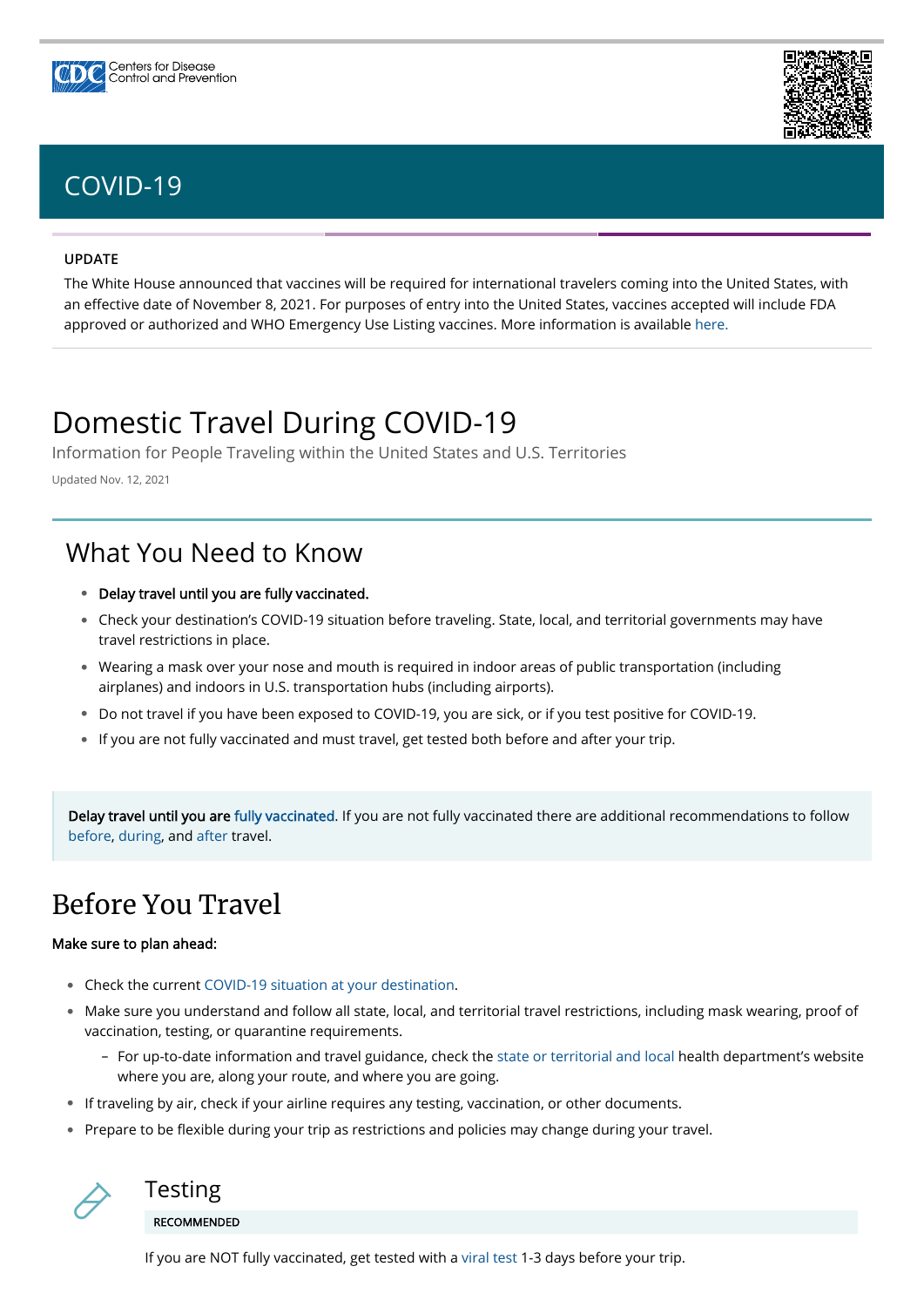#### **UPDATE**

The White House announced that vaccines will be required for international travelers coming into the United States, with an effective date of November 8, 2021. For purposes of entry into the United States, vaccines accepted will include FDA approved or authorized and WHO Emergency Use Listing vaccines. More information is available [here.](https://www.cdc.gov/coronavirus/2019-ncov/vaccines/fully-vaccinated-guidance.html)

- Check the current [COVID-19 situation at your destination](https://covid.cdc.gov/covid-data-tracker/#cases_community). •
- Make sure you understand and follow all state, local, and territorial travel restrictions, including mask wearing, proof of vaccination, testing, or quarantine requirements.
	- For up-to-date information and travel guidance, check the [state or territorial and local](https://www.cdc.gov/publichealthgateway/healthdirectories/index.html) health department's website where you are, along your route, and where you are going.
- If traveling by air, check if your airline requires any testing, vaccination, or other documents.
- Prepare to be flexible during your trip as restrictions and policies may change during your travel.

# Domestic Travel During COVID-19

Information for People Traveling within the United States and U.S. Territories

Updated Nov. 12, 2021

# <span id="page-0-0"></span>Before You Travel

### Make sure to plan ahead:

- Delay travel until you are fully vaccinated. •
- Check your destination's COVID-19 situation before traveling. State, local, and territorial governments may have travel restrictions in place.
- Wearing a mask over your nose and mouth is required in indoor areas of public transportation (including airplanes) and indoors in U.S. transportation hubs (including airports).
- Do not travel if you have been exposed to COVID-19, you are sick, or if you test positive for COVID-19. •
- If you are not fully vaccinated and must travel, get tested both before and after your trip.

Delay travel until you are [fully vaccinated](https://www.cdc.gov/coronavirus/2019-ncov/vaccines/fully-vaccinated.html). If you are not fully vaccinated there are additional recommendations to follow [before](#page-0-0), [during,](#page-1-0) and [after](#page-1-1) travel.

## What You Need to Know



If you are NOT fully vaccinated, get tested with a [viral test](https://www.cdc.gov/coronavirus/2019-ncov/symptoms-testing/testing.html) 1-3 days before your trip.





# [COVID-19](https://www.cdc.gov/coronavirus/2019-nCoV/index.html)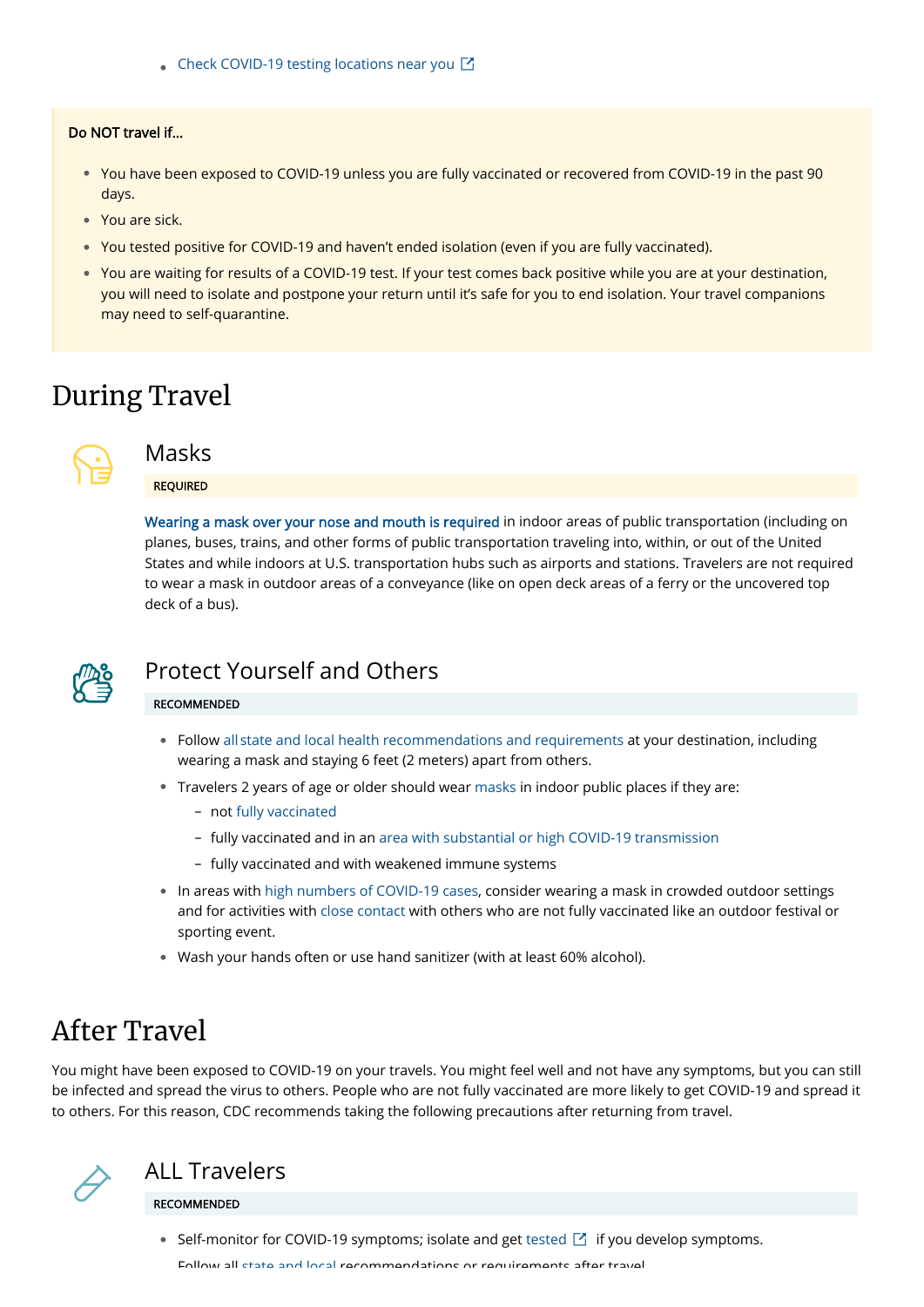## <span id="page-1-0"></span>During Travel



## <span id="page-1-1"></span>After Travel

You might have been exposed to COVID-19 on your travels. You might feel well and not have any symptoms, but you can still be infected and spread the virus to others. People who are not fully vaccinated are more likely to get COVID-19 and spread it to others. For this reason, CDC recommends taking the following precautions after returning from travel.

• [Check COVID-19 testing locations near you](https://www.hhs.gov/coronavirus/community-based-testing-sites/index.html)  $\boxtimes$ 

#### Do NOT travel if…

- You have been exposed to COVID-19 unless you are fully vaccinated or recovered from COVID-19 in the past 90 days.
- You are sick. •
- You tested positive for COVID-19 and haven't ended isolation (even if you are fully vaccinated). •
- You are waiting for results of a COVID-19 test. If your test comes back positive while you are at your destination, you will need to isolate and postpone your return until it's safe for you to end isolation. Your travel companions may need to self-quarantine.

### Masks

### REQUIRED

- Follow all [state and local health recommendations and requirements](https://www.cdc.gov/publichealthgateway/healthdirectories/index.html) at your destination, including wearing a mask and staying 6 feet (2 meters) apart from others.
- Travelers 2 years of age or older should wear [masks](https://www.cdc.gov/coronavirus/2019-ncov/prevent-getting-sick/diy-cloth-face-coverings.html) in indoor public places if they are:
	- not [fully vaccinated](https://www.cdc.gov/coronavirus/2019-ncov/vaccines/fully-vaccinated.html)
	- fully vaccinated and in an [area with substantial or high COVID-19 transmission](https://covid.cdc.gov/covid-data-tracker/#county-view)
	- fully vaccinated and with weakened immune systems
- In areas with [high numbers of COVID-19 cases](https://covid.cdc.gov/covid-data-tracker/#county-view), consider wearing a mask in crowded outdoor settings and for activities with [close contact](https://www.cdc.gov/coronavirus/2019-ncov/php/contact-tracing/contact-tracing-plan/appendix.html#contact) with others who are not fully vaccinated like an outdoor festival or sporting event.
- Wash your hands often or use hand sanitizer (with at least 60% alcohol). •

[Wearing a mask over your nose and mouth is required](https://www.cdc.gov/coronavirus/2019-ncov/travelers/face-masks-public-transportation.html) in indoor areas of public transportation (including on planes, buses, trains, and other forms of public transportation traveling into, within, or out of the United States and while indoors at U.S. transportation hubs such as airports and stations. Travelers are not required to wear a mask in outdoor areas of a conveyance (like on open deck areas of a ferry or the uncovered top deck of a bus).



## Protect Yourself and Others

#### RECOMMENDED



### ALL Travelers RECOMMENDED

• Self-monitor for COVID-19 symptoms; isolate and get [tested](https://www.hhs.gov/coronavirus/community-based-testing-sites/index.html)  $\Box$  if you develop symptoms.

Follow all [state](https://www.cdc.gov/publichealthgateway/healthdirectories/index.html) and local recommendations or requirements after travel